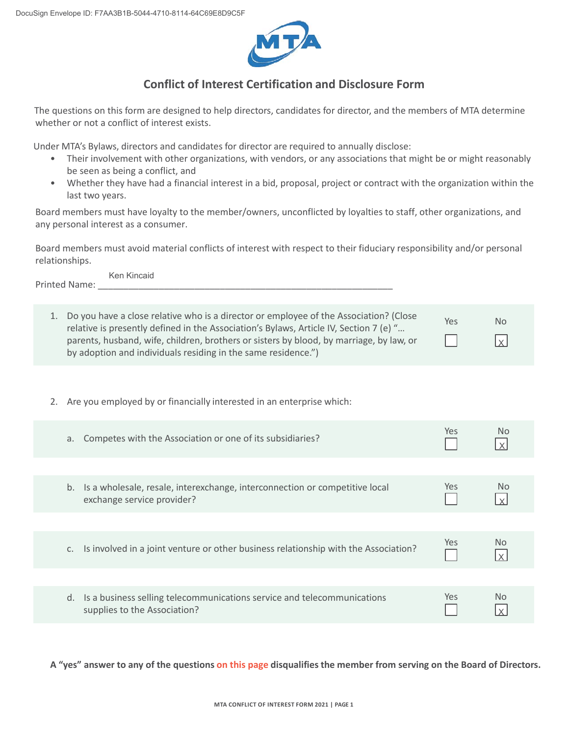

## **Conflict of Interest Certification and Disclosure Form**

The questions on this form are designed to help directors, candidates for director, and the members of MTA determine whether or not a conflict of interest exists.

Under MTA's Bylaws, directors and candidates for director are required to annually disclose:

- Their involvement with other organizations, with vendors, or any associations that might be or might reasonably be seen as being a conflict, and
- Whether they have had a financial interest in a bid, proposal, project or contract with the organization within the last two years.

Board members must have loyalty to the member/owners, unconflicted by loyalties to staff, other organizations, and any personal interest as a consumer.

Board members must avoid material conflicts of interest with respect to their fiduciary responsibility and/or personal relationships.

Printed Name: Ken Kincaid

| 1. Do you have a close relative who is a director or employee of the Association? (Close<br>relative is presently defined in the Association's Bylaws, Article IV, Section 7 (e) " | Yes | N <sub>o</sub>  |
|------------------------------------------------------------------------------------------------------------------------------------------------------------------------------------|-----|-----------------|
| parents, husband, wife, children, brothers or sisters by blood, by marriage, by law, or                                                                                            |     | $\vert x \vert$ |
| by adoption and individuals residing in the same residence.")                                                                                                                      |     |                 |

2. Are you employed by or financially interested in an enterprise which:

| Competes with the Association or one of its subsidiaries?<br>а.                                                 | Yes.       | Nο             |
|-----------------------------------------------------------------------------------------------------------------|------------|----------------|
|                                                                                                                 |            |                |
| Is a wholesale, resale, interexchange, interconnection or competitive local<br>b.<br>exchange service provider? | Yes        | No.            |
|                                                                                                                 |            |                |
| Is involved in a joint venture or other business relationship with the Association?<br>C.                       | Yes        | N <sub>0</sub> |
|                                                                                                                 |            |                |
| Is a business selling telecommunications service and telecommunications<br>d.<br>supplies to the Association?   | <b>Yes</b> | N <sub>0</sub> |

**A "yes" answer to any of the questions on this page disqualifies the member from serving on the Board of Directors.**